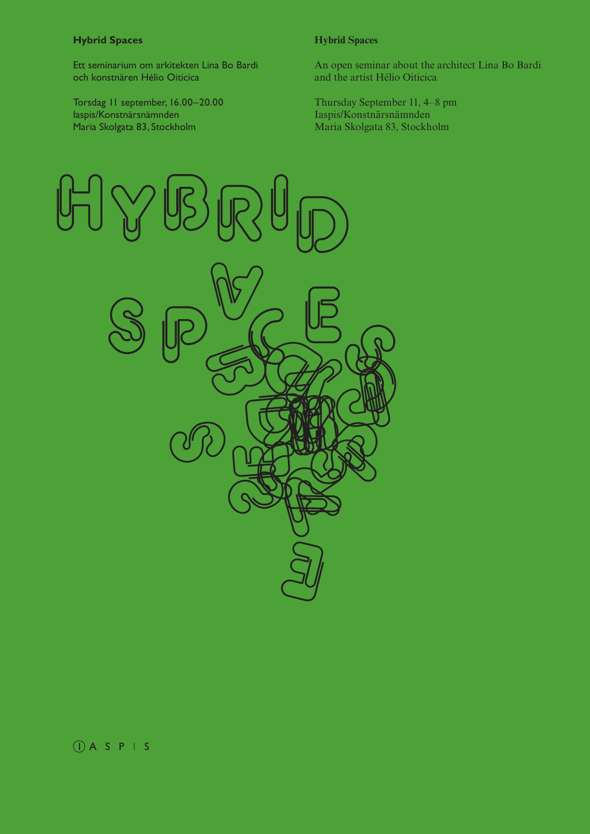# **Hybrid Spaces Hybrid Spaces**

Ett seminarium om arkitekten Lina Bo Bardi och konstnären Hélio Oiticica

Torsdag 11 september, 16.00–20.00 Iaspis/Konstnärsnämnden Maria Skolgata 83, Stockholm

An open seminar about the architect Lina Bo Bardi and the artist Hélio Oiticica

Thursday September 11, 4–8 pm Iaspis/Konstnärsnämnden Maria Skolgata 83, Stockholm

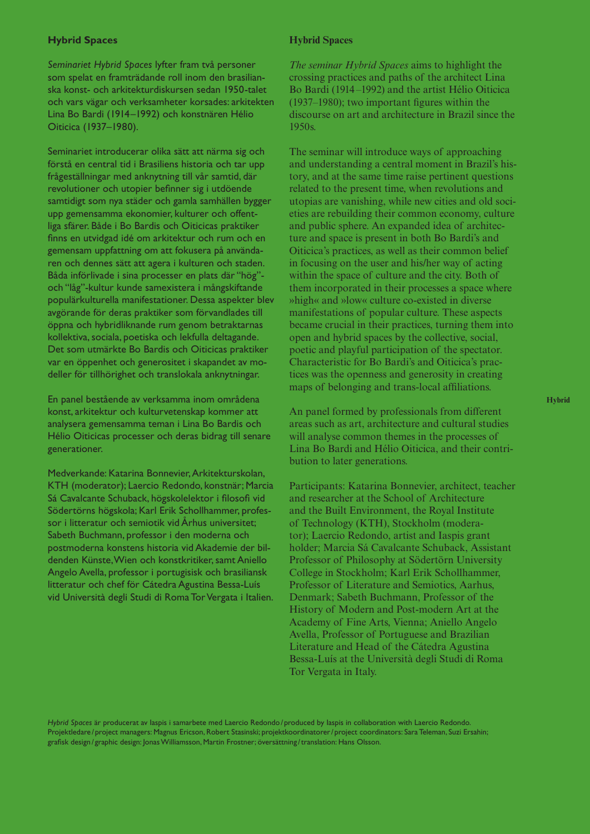# **Hybrid Spaces Hybrid Spaces**

*Seminariet Hybrid Spaces* lyfter fram två personer som spelat en framträdande roll inom den brasilianska konst- och arkitekturdiskursen sedan 1950-talet och vars vägar och verksamheter korsades: arkitekten Lina Bo Bardi (1914–1992) och konstnären Hélio Oiticica (1937–1980).

Seminariet introducerar olika sätt att närma sig och förstå en central tid i Brasiliens historia och tar upp frågeställningar med anknytning till vår samtid, där revolutioner och utopier befinner sig i utdöende samtidigt som nya städer och gamla samhällen bygger upp gemensamma ekonomier, kulturer och offentliga sfärer. Både i Bo Bardis och Oiticicas praktiker finns en utvidgad idé om arkitektur och rum och en gemensam uppfattning om att fokusera på användaren och dennes sätt att agera i kulturen och staden. Båda införlivade i sina processer en plats där "hög" och "låg"-kultur kunde samexistera i mångskiftande populärkulturella manifestationer. Dessa aspekter blev avgörande för deras praktiker som förvandlades till öppna och hybridliknande rum genom betraktarnas kollektiva, sociala, poetiska och lekfulla deltagande. Det som utmärkte Bo Bardis och Oiticicas praktiker var en öppenhet och generositet i skapandet av modeller för tillhörighet och translokala anknytningar.

En panel bestående av verksamma inom områdena konst, arkitektur och kulturvetenskap kommer att analysera gemensamma teman i Lina Bo Bardis och Hélio Oiticicas processer och deras bidrag till senare generationer.

Medverkande: Katarina Bonnevier, Arkitekturskolan, KTH (moderator); Laercio Redondo, konstnär; Marcia Sá Cavalcante Schuback, högskolelektor i filosofi vid Södertörns högskola; Karl Erik Schollhammer, professor i litteratur och semiotik vid Århus universitet; Sabeth Buchmann, professor i den moderna och postmoderna konstens historia vid Akademie der bildenden Künste, Wien och konstkritiker, samt Aniello Angelo Avella, professor i portugisisk och brasiliansk litteratur och chef för Cátedra Agustina Bessa-Luís vid Università degli Studi di Roma Tor Vergata i Italien.

*The seminar Hybrid Spaces* aims to highlight the crossing practices and paths of the architect Lina Bo Bardi (1914 –1992) and the artist Hélio Oiticica (1937–1980); two important figures within the discourse on art and architecture in Brazil since the 1950s.

The seminar will introduce ways of approaching and understanding a central moment in Brazil's history, and at the same time raise pertinent questions related to the present time, when revolutions and utopias are vanishing, while new cities and old societies are rebuilding their common economy, culture and public sphere. An expanded idea of architecture and space is present in both Bo Bardi's and Oiticica's practices, as well as their common belief in focusing on the user and his/her way of acting within the space of culture and the city. Both of them incorporated in their processes a space where »high« and »low« culture co-existed in diverse manifestations of popular culture. These aspects became crucial in their practices, turning them into open and hybrid spaces by the collective, social, poetic and playful participation of the spectator. Characteristic for Bo Bardi's and Oiticica's practices was the openness and generosity in creating maps of belonging and trans-local affiliations.

An panel formed by professionals from different areas such as art, architecture and cultural studies will analyse common themes in the processes of Lina Bo Bardi and Hélio Oiticica, and their contribution to later generations.

Participants: Katarina Bonnevier, architect, teacher and researcher at the School of Architecture and the Built Environment, the Royal Institute of Technology (KTH), Stockholm (moderator); Laercio Redondo, artist and Iaspis grant holder; Marcia Sá Cavalcante Schuback, Assistant Professor of Philosophy at Södertörn University College in Stockholm; Karl Erik Schollhammer, Professor of Literature and Semiotics, Aarhus, Denmark; Sabeth Buchmann, Professor of the History of Modern and Post-modern Art at the Academy of Fine Arts, Vienna; Aniello Angelo Avella, Professor of Portuguese and Brazilian Literature and Head of the Cátedra Agustina Bessa-Luís at the Università degli Studi di Roma Tor Vergata in Italy.

*Hybrid Spaces* är producerat av Iaspis i samarbete med Laercio Redondo/ produced by Iaspis in collaboration with Laercio Redondo. Projektledare /project managers: Magnus Ericson, Robert Stasinski; projektkoordinatorer/project coordinators: Sara Teleman, Suzi Ersahin; grafisk design/ graphic design: Jonas Williamsson, Martin Frostner; översättning /translation: Hans Olsson.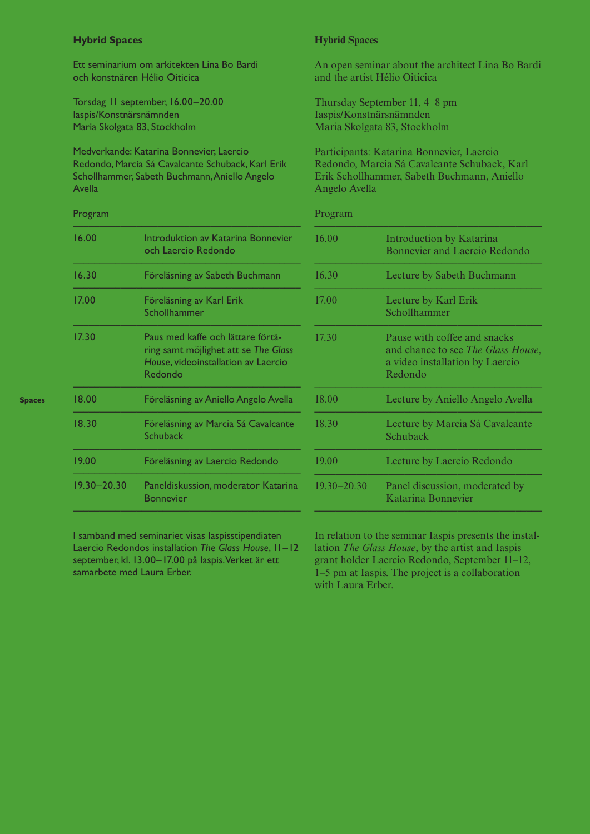# **Hybrid Spaces Hybrid Spaces**

Ett seminarium om arkitekten Lina Bo Bardi och konstnären Hélio Oiticica

Torsdag 11 september, 16.00–20.00 Iaspis/Konstnärsnämnden Maria Skolgata 83, Stockholm

Medverkande: Katarina Bonnevier, Laercio Redondo, Marcia Sá Cavalcante Schuback, Karl Erik Schollhammer, Sabeth Buchmann, Aniello Angelo Avella

# Program

| 16.00           | Introduktion av Katarina Bonnevier<br>och Laercio Redondo                                                                   |
|-----------------|-----------------------------------------------------------------------------------------------------------------------------|
| 16.30           | Föreläsning av Sabeth Buchmann                                                                                              |
| 17.00           | Föreläsning av Karl Erik<br>Schollhammer                                                                                    |
| 17.30           | Paus med kaffe och lättare förtä-<br>ring samt möjlighet att se The Glass<br>House, videoinstallation av Laercio<br>Redondo |
| 18.00           | Föreläsning av Aniello Angelo Avella                                                                                        |
| 18.30           | Föreläsning av Marcia Sá Cavalcante<br>Schuback                                                                             |
| 19.00           | Föreläsning av Laercio Redondo                                                                                              |
| $19.30 - 20.30$ | Paneldiskussion, moderator Katarina<br><b>Bonnevier</b>                                                                     |
|                 |                                                                                                                             |

I samband med seminariet visas Iaspisstipendiaten Laercio Redondos installation *The Glass House*, 11–12 september, kl. 13.00–17.00 på Iaspis. Verket är ett samarbete med Laura Erber.

An open seminar about the architect Lina Bo Bardi and the artist Hélio Oiticica

Thursday September 11, 4–8 pm Iaspis/Konstnärsnämnden Maria Skolgata 83, Stockholm

Participants: Katarina Bonnevier, Laercio Redondo, Marcia Sá Cavalcante Schuback, Karl Erik Schollhammer, Sabeth Buchmann, Aniello Angelo Avella

## Program

| 16.00           | <b>Introduction by Katarina</b><br><b>Bonnevier and Laercio Redondo</b>                                          |
|-----------------|------------------------------------------------------------------------------------------------------------------|
| 16.30           | Lecture by Sabeth Buchmann                                                                                       |
| 17.00           | Lecture by Karl Erik<br>Schollhammer                                                                             |
| 17.30           | Pause with coffee and snacks<br>and chance to see The Glass House,<br>a video installation by Laercio<br>Redondo |
| 18.00           | Lecture by Aniello Angelo Avella                                                                                 |
| 18.30           | Lecture by Marcia Sá Cavalcante<br>Schuback                                                                      |
| 19.00           | Lecture by Laercio Redondo                                                                                       |
| $19.30 - 20.30$ | Panel discussion, moderated by<br>Katarina Bonnevier                                                             |
|                 |                                                                                                                  |

In relation to the seminar Iaspis presents the installation *The Glass House*, by the artist and Iaspis grant holder Laercio Redondo, September 11–12, 1–5 pm at Iaspis. The project is a collaboration with Laura Erber.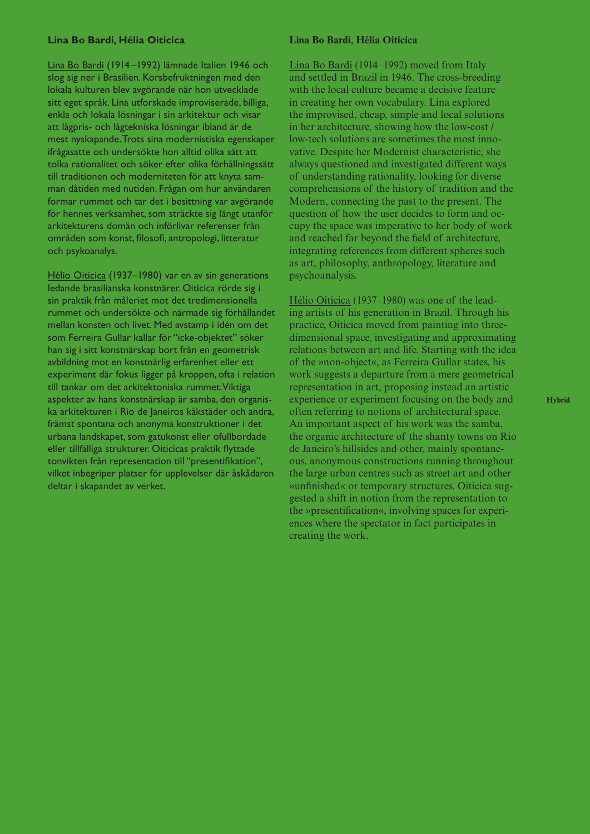## **Lina Bo Bardi, Hélia Oiticica Lina Bo Bardi, Hélia Oiticica**

Lina Bo Bardi (1914 –1992) lämnade Italien 1946 och slog sig ner i Brasilien. Korsbefruktningen med den lokala kulturen blev avgörande när hon utvecklade sitt eget språk. Lina utforskade improviserade, billiga, enkla och lokala lösningar i sin arkitektur och visar att lågpris- och lågtekniska lösningar ibland är de mest nyskapande. Trots sina modernistiska egenskaper ifrågasatte och undersökte hon alltid olika sätt att tolka rationalitet och söker efter olika förhållningssätt till traditionen och moderniteten för att knyta samman dåtiden med nutiden. Frågan om hur användaren formar rummet och tar det i besittning var avgörande för hennes verksamhet, som sträckte sig långt utanför arkitekturens domän och införlivar referenser från områden som konst, filosofi, antropologi, litteratur och psykoanalys.

Hélio Oiticica (1937–1980) var en av sin generations ledande brasilianska konstnärer. Oiticica rörde sig i sin praktik från måleriet mot det tredimensionella rummet och undersökte och närmade sig förhållandet mellan konsten och livet. Med avstamp i idén om det som Ferreira Gullar kallar för "icke-objektet" söker han sig i sitt konstnärskap bort från en geometrisk avbildning mot en konstnärlig erfarenhet eller ett experiment där fokus ligger på kroppen, ofta i relation till tankar om det arkitektoniska rummet. Viktiga aspekter av hans konstnärskap är samba, den organiska arkitekturen i Rio de Janeiros kåkstäder och andra, främst spontana och anonyma konstruktioner i det urbana landskapet, som gatukonst eller ofullbordade eller tillfälliga strukturer. Oiticicas praktik flyttade tonvikten från representation till "presentifikation", vilket inbegriper platser för upplevelser där åskådaren deltar i skapandet av verket.

Lina Bo Bardi (1914–1992) moved from Italy and settled in Brazil in 1946. The cross-breeding with the local culture became a decisive feature in creating her own vocabulary. Lina explored the improvised, cheap, simple and local solutions in her architecture, showing how the low-cost / low-tech solutions are sometimes the most innovative. Despite her Modernist characteristic, she always questioned and investigated different ways of understanding rationality, looking for diverse comprehensions of the history of tradition and the Modern, connecting the past to the present. The question of how the user decides to form and occupy the space was imperative to her body of work and reached far beyond the field of architecture, integrating references from different spheres such as art, philosophy, anthropology, literature and psychoanalysis.

Hélio Oiticica (1937–1980) was one of the leading artists of his generation in Brazil. Through his practice, Oiticica moved from painting into threedimensional space, investigating and approximating relations between art and life. Starting with the idea of the »non-object«, as Ferreira Gullar states, his work suggests a departure from a mere geometrical representation in art, proposing instead an artistic experience or experiment focusing on the body and often referring to notions of architectural space. An important aspect of his work was the samba, the organic architecture of the shanty towns on Rio de Janeiro's hillsides and other, mainly spontaneous, anonymous constructions running throughout the large urban centres such as street art and other »unfinished« or temporary structures. Oiticica suggested a shift in notion from the representation to the »presentification«, involving spaces for experiences where the spectator in fact participates in creating the work.

**Hybrid**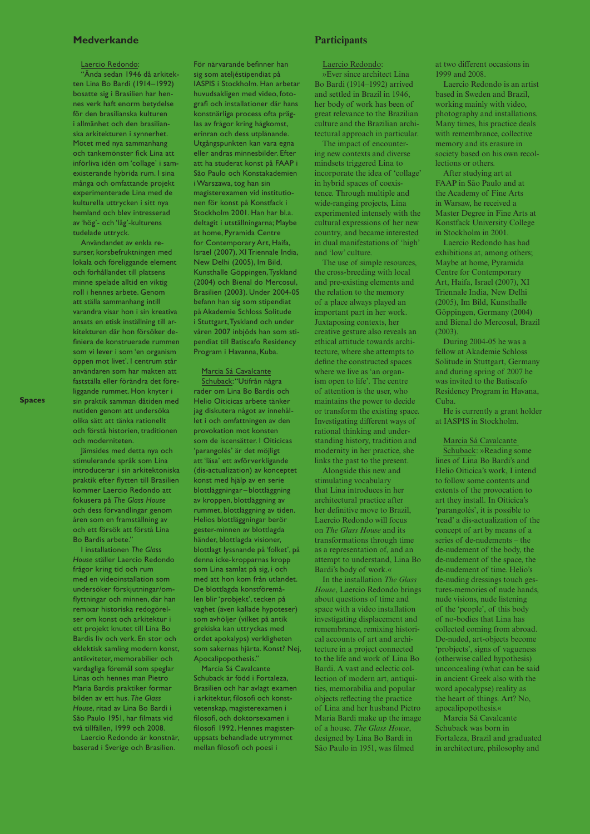### Laercio Redondo:

"Ända sedan 1946 då arkitekten Lina Bo Bardi (1914–1992) bosatte sig i Brasilien har hennes verk haft enorm betydelse för den brasilianska kulturen i allmänhet och den brasilianska arkitekturen i synnerhet. Mötet med nya sammanhang och tankemönster fick Lina att införliva idén om 'collage' i samexisterande hybrida rum. I sina många och omfattande projekt experimenterade Lina med de kulturella uttrycken i sitt nya hemland och blev intresserad av 'hög'- och 'låg'-kulturens tudelade uttryck.

Användandet av enkla resurser, korsbefruktningen med lokala och föreliggande element och förhållandet till platsens minne spelade alltid en viktig roll i hennes arbete. Genom att ställa sammanhang intill varandra visar hon i sin kreativa ansats en etisk inställning till arkitekturen där hon försöker definiera de konstruerade rummen som vi lever i som 'en organism öppen mot livet'. I centrum står användaren som har makten att fastställa eller förändra det föreliggande rummet. Hon knyter i sin praktik samman dåtiden med nutiden genom att undersöka olika sätt att tänka rationellt och förstå historien, traditionen och moderniteten.

Jämsides med detta nya och stimulerande språk som Lina introducerar i sin arkitektoniska praktik efter flytten till Brasilien kommer Laercio Redondo att fokusera på *The Glass House* och dess förvandlingar genom åren som en framställning av och ett försök att förstå Lina Bo Bardis arbete."

I installationen *The Glass House* ställer Laercio Redondo frågor kring tid och rum med en videoinstallation som undersöker förskjutningar/omflyttningar och minnen, där han remixar historiska redogörelser om konst och arkitektur i ett projekt knutet till Lina Bo Bardis liv och verk. En stor och eklektisk samling modern konst, antikviteter, memorabilier och vardagliga föremål som speglar Linas och hennes man Pietro Maria Bardis praktiker formar bilden av ett hus. *The Glass House*, ritad av Lina Bo Bardi i São Paulo 1951, har filmats vid två tillfällen, 1999 och 2008.

Laercio Redondo är konstnär, baserad i Sverige och Brasilien.

För närvarande befinner han sig som ateljéstipendiat på IASPIS i Stockholm. Han arbetar huvudsakligen med video, fotografi och installationer där hans konstnärliga process ofta präglas av frågor kring hågkomst, erinran och dess utplånande. Utgångspunkten kan vara egna eller andras minnesbilder. Efter att ha studerat konst på FAAP i São Paulo och Konstakademien i Warszawa, tog han sin magisterexamen vid institutionen för konst på Konstfack i Stockholm 2001. Han har bl.a. deltagit i utställningarna; Maybe at home, Pyramida Centre for Contemporary Art, Haifa, Israel (2007), XI Triennale India, New Delhi (2005), Im Bild, Kunsthalle Göppingen, Tyskland (2004) och Bienal do Mercosul, Brasilien (2003). Under 2004-05 befann han sig som stipendiat på Akademie Schloss Solitude i Stuttgart, Tyskland och under våren 2007 inbjöds han som stipendiat till Batiscafo Residency Program i Havanna, Kuba.

### Marcia Sá Cavalcante

Schuback: "Utifrån några rader om Lina Bo Bardis och Helio Oiticicas arbete tänker jag diskutera något av innehållet i och omfattningen av den provokation mot konsten som de iscensätter. I Oiticicas 'parangolés' är det möjligt att 'läsa' ett avförverkligande (dis-actualization) av konceptet konst med hjälp av en serie blottläggningar – blottläggning av kroppen, blottläggning av rummet, blottläggning av tiden. Helios blottläggningar berör gester-minnen av blottlagda händer, blottlagda visioner, blottlagt lyssnande på 'folket', på denna icke-kropparnas kropp som Lina samlat på sig, i och med att hon kom från utlandet. De blottlagda konstföremålen blir 'probjekt', tecken på vaghet (även kallade hypoteser) som avhöljer (vilket på antik grekiska kan uttryckas med ordet apokalyps) verkligheten som sakernas hjärta. Konst? Nej, Apocalipopothesis."

Marcia Sá Cavalcante Schuback är född i Fortaleza, Brasilien och har avlagt examen i arkitektur, filosofi och konstvetenskap, magisterexamen i filosofi, och doktorsexamen i filosofi 1992. Hennes magisteruppsats behandlade utrymmet mellan filosofi och poesi i

### Laercio Redondo:

»Ever since architect Lina Bo Bardi (1914–1992) arrived and settled in Brazil in 1946, her body of work has been of great relevance to the Brazilian culture and the Brazilian architectural approach in particular.

The impact of encountering new contexts and diverse mindsets triggered Lina to incorporate the idea of 'collage' in hybrid spaces of coexistence. Through multiple and wide-ranging projects, Lina experimented intensely with the cultural expressions of her new country, and became interested in dual manifestations of 'high' and 'low' culture.

The use of simple resources, the cross-breeding with local and pre-existing elements and the relation to the memory of a place always played an important part in her work. Juxtaposing contexts, her creative gesture also reveals an ethical attitude towards architecture, where she attempts to define the constructed spaces where we live as 'an organism open to life'. The centre of attention is the user, who maintains the power to decide or transform the existing space. Investigating different ways of rational thinking and understanding history, tradition and modernity in her practice, she links the past to the present.

Alongside this new and stimulating vocabulary that Lina introduces in her architectural practice after her definitive move to Brazil, Laercio Redondo will focus on *The Glass House* and its transformations through time as a representation of, and an attempt to understand, Lina Bo Bardi's body of work.«

In the installation *The Glass House*, Laercio Redondo brings about questions of time and space with a video installation investigating displacement and remembrance, remixing historical accounts of art and architecture in a project connected to the life and work of Lina Bo Bardi. A vast and eclectic collection of modern art, antiquities, memorabilia and popular objects reflecting the practice of Lina and her husband Pietro Maria Bardi make up the image of a house. *The Glass House*, designed by Lina Bo Bardi in São Paulo in 1951, was filmed

at two different occasions in 1999 and 2008.

Laercio Redondo is an artist based in Sweden and Brazil, working mainly with video, photography and installations. Many times, his practice deals with remembrance, collective memory and its erasure in society based on his own recollections or others.

After studying art at FAAP in São Paulo and at the Academy of Fine Arts in Warsaw, he received a Master Degree in Fine Arts at Konstfack University College in Stockholm in 2001.

Laercio Redondo has had exhibitions at, among others; Maybe at home, Pyramida Centre for Contemporary Art, Haifa, Israel (2007), XI Triennale India, New Delhi (2005), Im Bild, Kunsthalle Göppingen, Germany (2004) and Bienal do Mercosul, Brazil (2003).

During 2004-05 he was a fellow at Akademie Schloss Solitude in Stuttgart, Germany and during spring of 2007 he was invited to the Batiscafo Residency Program in Havana, Cuba.

He is currently a grant holder at IASPIS in Stockholm.

Marcia Sá Cavalcante Schuback: »Reading some lines of Lina Bo Bardi's and Helio Oiticica's work, I intend to follow some contents and extents of the provocation to art they install. In Oiticica's 'parangolés', it is possible to 'read' a dis-actualization of the concept of art by means of a series of de-nudements – the de-nudement of the body, the de-nudement of the space, the de-nudement of time. Helio's de-nuding dressings touch gestures-memories of nude hands, nude visions, nude listening of the 'people', of this body of no-bodies that Lina has collected coming from abroad. De-nuded, art-objects become 'probjects', signs of vagueness (otherwise called hypothesis) unconcealing (what can be said in ancient Greek also with the word apocalypse) reality as the heart of things. Art? No, apocalipopothesis.«

Marcia Sá Cavalcante Schuback was born in Fortaleza, Brazil and graduated in architecture, philosophy and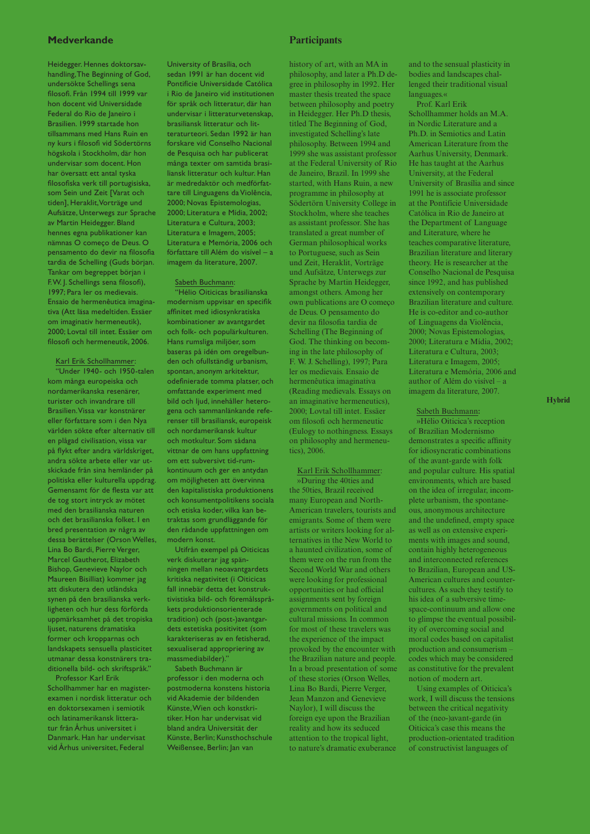Heidegger. Hennes doktorsavhandling, The Beginning of God, undersökte Schellings sena filosofi. Från 1994 till 1999 var hon docent vid Universidade Federal do Rio de Janeiro i Brasilien. 1999 startade hon tillsammans med Hans Ruin en ny kurs i filosofi vid Södertörns högskola i Stockholm, där hon undervisar som docent. Hon har översatt ett antal tyska filosofiska verk till portugisiska, som Sein und Zeit [Varat och tiden], Heraklit, Vorträge und Aufsätze, Unterwegs zur Sprache av Martin Heidegger. Bland hennes egna publikationer kan nämnas O começo de Deus. O pensamento do devir na filosofia tardia de Schelling (Guds början. Tankar om begreppet början i F. W. J. Schellings sena filosofi), 1997; Para ler os medievais. Ensaio de hermenêutica imaginativa (Att läsa medeltiden. Essäer om imaginativ hermeneutik), 2000; Lovtal till intet. Essäer om filosofi och hermeneutik, 2006.

Karl Erik Schollhammer: "Under 1940- och 1950-talen kom många europeiska och nordamerikanska resenärer, turister och invandrare till Brasilien. Vissa var konstnärer eller författare som i den Nya världen sökte efter alternativ till en plågad civilisation, vissa var på flykt efter andra världskriget, andra sökte arbete eller var utskickade från sina hemländer på politiska eller kulturella uppdrag. Gemensamt för de flesta var att de tog stort intryck av mötet med den brasilianska naturen och det brasilianska folket. I en bred presentation av några av dessa berättelser (Orson Welles, Lina Bo Bardi, Pierre Verger, Marcel Gautherot, Elizabeth Bishop, Genevieve Naylor och Maureen Bisilliat) kommer jag att diskutera den utländska synen på den brasilianska verkligheten och hur dess förförda uppmärksamhet på det tropiska ljuset, naturens dramatiska former och kropparnas och landskapets sensuella plasticitet utmanar dessa konstnärers traditionella bild- och skriftspråk."

Professor Karl Erik Schollhammer har en magisterexamen i nordisk litteratur och en doktorsexamen i semiotik och latinamerikansk litteratur från Århus universitet i Danmark. Han har undervisat vid Århus universitet, Federal

University of Brasília, och sedan 1991 är han docent vid Pontifície Universidade Católica i Rio de Janeiro vid institutionen för språk och litteratur, där han undervisar i litteraturvetenskap, brasiliansk litteratur och litteraturteori. Sedan 1992 är han forskare vid Conselho Nacional de Pesquisa och har publicerat många texter om samtida brasiliansk litteratur och kultur. Han är medredaktör och medförfattare till Linguagens da Violência, 2000; Novas Epistemologias, 2000; Literatura e Mídia, 2002; Literatura e Cultura, 2003; Literatura e Imagem, 2005; Literatura e Memória, 2006 och författare till Além do visível – a imagem da literature, 2007.

### Sabeth Buchmann:

"Hélio Oiticicas brasilianska modernism uppvisar en specifik affinitet med idiosynkratiska kombinationer av avantgardet och folk- och populärkulturen. Hans rumsliga miljöer, som baseras på idén om oregelbunden och ofullständig urbanism, spontan, anonym arkitektur, odefinierade tomma platser, och omfattande experiment med bild och ljud, innehåller heterogena och sammanlänkande referenser till brasiliansk, europeisk och nordamerikansk kultur och motkultur. Som sådana vittnar de om hans uppfattning om ett subversivt tid-rumkontinuum och ger en antydan om möjligheten att övervinna den kapitalistiska produktionens och konsumentpolitikens sociala och etiska koder, vilka kan betraktas som grundläggande för den rådande uppfattningen om modern konst.

Utifrån exempel på Oiticicas verk diskuterar jag spänningen mellan neoavantgardets kritiska negativitet (i Oiticicas fall innebär detta det konstruktivistiska bild- och föremålsspråkets produktionsorienterade tradition) och (post-)avantgardets estetiska positivitet (som karakteriseras av en fetisherad, sexualiserad appropriering av massmediabilder)."

Sabeth Buchmann är professor i den moderna och postmoderna konstens historia vid Akademie der bildenden Künste, Wien och konstkritiker. Hon har undervisat vid bland andra Universität der Künste, Berlin; Kunsthochschule Weißensee, Berlin; Jan van

history of art, with an MA in philosophy, and later a Ph.D degree in philosophy in 1992. Her master thesis treated the space between philosophy and poetry in Heidegger. Her Ph.D thesis, titled The Beginning of God, investigated Schelling's late philosophy. Between 1994 and 1999 she was assistant professor at the Federal University of Rio de Janeiro, Brazil. In 1999 she started, with Hans Ruin, a new programme in philosophy at Södertörn University College in Stockholm, where she teaches as assistant professor. She has translated a great number of German philosophical works to Portuguese, such as Sein und Zeit, Heraklit, Vorträge und Aufsätze, Unterwegs zur Sprache by Martin Heidegger, amongst others. Among her own publications are O começo de Deus. O pensamento do devir na filosofia tardia de Schelling (The Beginning of God. The thinking on becoming in the late philosophy of F. W. J. Schelling), 1997; Para ler os medievais. Ensaio de hermenêutica imaginativa (Reading medievals. Essays on an imaginative hermeneutics), 2000; Lovtal till intet. Essäer om filosofi och hermeneutic (Eulogy to nothingness. Essays on philosophy and hermeneu-

Karl Erik Schollhammer: »During the 40ties and the 50ties, Brazil received many European and North-American travelers, tourists and emigrants. Some of them were artists or writers looking for alternatives in the New World to a haunted civilization, some of them were on the run from the Second World War and others were looking for professional opportunities or had official assignments sent by foreign governments on political and cultural missions. In common for most of these travelers was the experience of the impact provoked by the encounter with the Brazilian nature and people. In a broad presentation of some of these stories (Orson Welles, Lina Bo Bardi, Pierre Verger, Jean Manzon and Genevieve Naylor), I will discuss the foreign eye upon the Brazilian reality and how its seduced attention to the tropical light,

to nature's dramatic exuberance

tics), 2006.

and to the sensual plasticity in bodies and landscapes challenged their traditional visual languages.«

Prof. Karl Erik Schollhammer holds an M.A. in Nordic Literature and a Ph.D. in Semiotics and Latin American Literature from the Aarhus University, Denmark. He has taught at the Aarhus University, at the Federal University of Brasília and since 1991 he is associate professor at the Pontifície Universidade Católica in Rio de Janeiro at the Department of Language and Literature, where he teaches comparative literature, Brazilian literature and literary theory. He is researcher at the Conselho Nacional de Pesquisa since 1992, and has published extensively on contemporary Brazilian literature and culture. He is co-editor and co-author of Linguagens da Violência, 2000; Novas Epistemologias, 2000; Literatura e Mídia, 2002; Literatura e Cultura, 2003; Literatura e Imagem, 2005; Literatura e Memória, 2006 and author of Além do visível – a imagem da literature, 2007.

### Sabeth Buchmann**:**

»Hélio Oiticica's reception of Brazilian Modernismo demonstrates a specific affinity for idiosyncratic combinations of the avant-garde with folk and popular culture. His spatial environments, which are based on the idea of irregular, incomplete urbanism, the spontaneous, anonymous architecture and the undefined, empty space as well as on extensive experiments with images and sound, contain highly heterogeneous and interconnected references to Brazilian, European and US-American cultures and countercultures. As such they testify to his idea of a subversive timespace-continuum and allow one to glimpse the eventual possibility of overcoming social and moral codes based on capitalist production and consumerism – codes which may be considered as constitutive for the prevalent notion of modern art.

Using examples of Oiticica's work, I will discuss the tensions between the critical negativity of the (neo-)avant-garde (in Oiticica's case this means the production-orientated tradition of constructivist languages of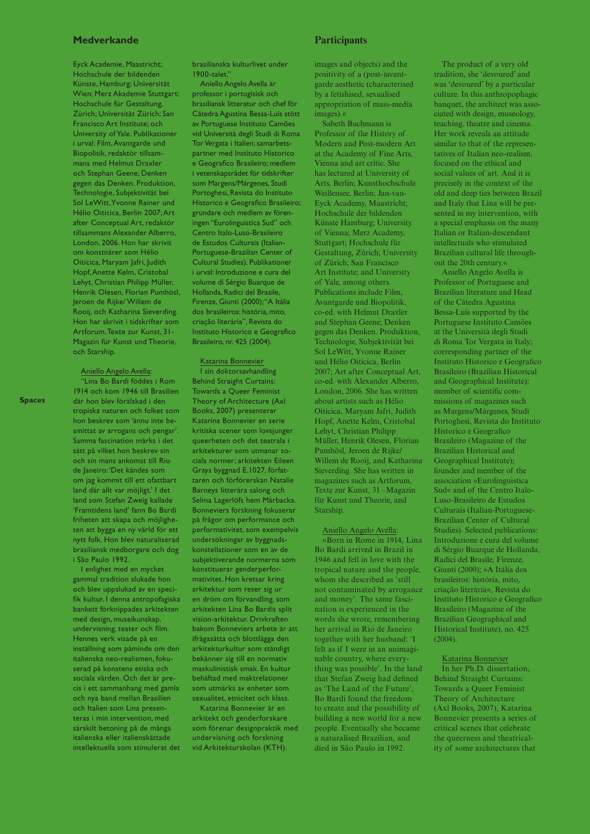Eyck Academie, Maastricht; Hochschule der bildenden Künste, Hamburg; Universität Wien; Merz Akademie Stuttgart; Hochschule für Gestaltung, Zürich; Universität Zürich; San Francisco Art Institute; och University of Yale. Publikationer i urval: Film, Avantgarde und Biopolitik, redaktör tillsammans med Helmut Draxler och Stephan Geene; Denken gegen das Denken. Produktion, Technologie, Subjektivität bei Sol LeWitt, Yvonne Rainer und Hélio Oiticica, Berlin 2007; Art after Conceptual Art, redaktör tillsammans Alexander Alberro, London, 2006. Hon har skrivit om konstnärer som Hélio Oiticica, Maryam Jafri, Judith Hopf, Anette Kelm, Cristobal Lehyt, Christian Philipp Müller, Henrik Olesen, Florian Pumhösl, Jeroen de Rijke/ Willem de Rooij, och Katharina Sieverding. Hon har skrivit i tidskrifter som Artforum, Texte zur Kunst, 31- Magazin für Kunst und Theorie, och Starship.

Aniello Angelo Avella:

"Lina Bo Bardi föddes i Rom 1914 och kom 1946 till Brasilien där hon blev förälskad i den tropiska naturen och folket som hon beskrev som 'ännu inte besmittat av arrogans och pengar'. Samma fascination märks i det sätt på vilket hon beskrev sin och sin mans ankomst till Rio de Janeiro: 'Det kändes som om jag kommit till ett ofattbart land där allt var möjligt.' I det land som Stefan Zweig kallade 'Framtidens land' fann Bo Bardi friheten att skapa och möjligheten att bygga en ny värld för ett nytt folk. Hon blev naturaliserad brasiliansk medborgare och dog i São Paulo 1992.

I enlighet med en mycket gammal tradition slukade hon och blev uppslukad av en specifik kultur. I denna antropofagiska bankett förknippades arkitekten med design, museikunskap, undervisning, teater och film. Hennes verk visade på en inställning som påminde om den italienska neo-realismen, fokuserad på konstens etiska och sociala värden. Och det är precis i ett sammanhang med gamla och nya band mellan Brasilien och Italien som Lina presenteras i min intervention, med särskilt betoning på de många italienska eller italienskättade intellektuella som stimulerat det brasilianska kulturlivet under  $1900$ -talet?

Aniello Angelo Avella är professor i portugisisk och brasiliansk litteratur och chef för Cátedra Agustina Bessa-Luís stött av Portuguese Instituto Camões vid Università degli Studi di Roma Tor Vergata i Italien; samarbetspartner med Instituto Historico e Geografico Brasileiro; medlem i vetenskapsrådet för tidskrifter som Margens/Márgenes, Studi Portoghesi, Revista do Instituto Historico e Geografico Brasileiro; grundare och medlem av föreningen "Eurolinguistica Sud" och Centro Italo-Luso-Brasileiro de Estudos Culturais (Italian-Portuguese-Brazilian Center of Cultural Studies). Publikationer i urval: Introduzione e cura del volume di Sérgio Buarque de Hollanda, Radici del Brasile, Firenze, Giunti (2000); "A Itália dos brasileiros: história, mito, criação literária", Revista do Instituto Historico e Geografico Brasileiro, nr. 425 (2004).

Katarina Bonnevier I sin doktorsavhandling Behind Straight Curtains: Towards a Queer Feminist Theory of Architecture (Axl Books, 2007) presenterar Katarina Bonnevier en serie kritiska scener som lovsjunger queerheten och det teatrala i arkitekturer som utmanar sociala normer; arkitekten Eileen Grays byggnad E.1027, författaren och förförerskan Natalie Barneys litterära salong och Selma Lagerlöfs hem Mårbacka. Bonneviers forskning fokuserar på frågor om performance och performativitet, som exempelvis undersökningar av byggnadskonstellationer som en av de subjektiverande normerna som konstituerar genderperformativitet. Hon kretsar kring arkitektur som reser sig ur en dröm om förvandling, som arkitekten Lina Bo Bardis split vision-arkitektur. Drivkraften bakom Bonneviers arbete är att ifrågasätta och blottlägga den arkitekturkultur som ständigt bekänner sig till en normativ maskulinistisk smak. En kultur behäftad med maktrelationer som utmärks av enheter som sexualitet, etnicitet och klass.

Katarina Bonnevier är en arkitekt och genderforskare som förenar designpraktik med undervisning och forskning vid Arkitekturskolan (KTH).

images and objects) and the positivity of a (post-)avantgarde aesthetic (characterised by a fetishised, sexualised appropriation of mass-media images).«

Sabeth Buchmann is Professor of the History of Modern and Post-modern Art at the Academy of Fine Arts, Vienna and art critic. She has lectured at University of Arts, Berlin; Kunsthochschule Weißensee, Berlin; Jan-van-Eyck Academy, Maastricht; Hochschule der bildenden Künste Hamburg; University of Vienna; Merz Academy, Stuttgart; Hochschule für Gestaltung, Zürich; University of Zürich; San Francisco Art Institute; and University of Yale, among others. Publications include Film, Avantgarde und Biopolitik, co-ed. with Helmut Draxler and Stephan Geene; Denken gegen das Denken. Produktion, Technologie, Subjektivität bei Sol LeWitt, Yvonne Rainer und Hélio Oiticica, Berlin 2007; Art after Conceptual Art, co-ed. with Alexander Alberro, London, 2006. She has written about artists such as Hélio Oiticica, Maryam Jafri, Judith Hopf, Anette Kelm, Cristobal Lehyt, Christian Philipp Müller, Henrik Olesen, Florian Pumhösl, Jeroen de Rijke/ Willem de Rooij, and Katharina Sieverding. She has written in magazines such as Artforum, Texte zur Kunst, 31 –Magazin für Kunst und Theorie, and Starship.

Aniello Angelo Avella:

»Born in Rome in 1914, Lina Bo Bardi arrived in Brazil in 1946 and fell in love with the tropical nature and the people, whom she described as 'still not contaminated by arrogance and money'. The same fascination is experienced in the words she wrote, remembering her arrival in Rio de Janeiro together with her husband: 'I felt as if I were in an unimaginable country, where everything was possible'. In the land that Stefan Zweig had defined as 'The Land of the Future', Bo Bardi found the freedom to create and the possibility of building a new world for a new people. Eventually she became a naturalised Brazilian, and died in São Paulo in 1992.

The product of a very old tradition, she 'devoured' and was 'devoured' by a particular culture. In this anthropophagic banquet, the architect was associated with design, museology, teaching, theatre and cinema. Her work reveals an attitude similar to that of the representatives of Italian neo-realism, focused on the ethical and social values of art. And it is precisely in the context of the old and deep ties between Brazil and Italy that Lina will be presented in my intervention, with a special emphasis on the many Italian or Italian-descendant intellectuals who stimulated Brazilian cultural life throughout the 20th century.«

Aniello Angelo Avella is Professor of Portuguese and Brazilian literature and Head of the Cátedra Agustina Bessa-Luís supported by the Portuguese Instituto Camões at the Università degli Studi di Roma Tor Vergata in Italy; corresponding partner of the Instituto Historico e Geografico Brasileiro (Brazilian Historical and Geographical Institute); member of scientific commissions of magazines such as Margens/Márgenes, Studi Portoghesi, Revista do Instituto Historico e Geografico Brasileiro (Magazine of the Brazilian Historical and Geographical Institute); founder and member of the association »Eurolinguistica Sud« and of the Centro Italo-Luso-Brasileiro de Estudos Culturais (Italian-Portuguese-Brazilian Center of Cultural Studies). Selected publications: Introduzione e cura del volume di Sérgio Buarque de Hollanda, Radici del Brasile, Firenze, Giunti (2000); »A Itália dos brasileiros: história, mito, criação literária«, Revista do Instituto Historico e Geografico Brasileiro (Magazine of the Brazilian Geographical and Historical Institute), no. 425 (2004).

Katarina Bonnevier In her Ph.D. dissertation, Behind Straight Curtains: Towards a Queer Feminist Theory of Architecture (Axl Books, 2007), Katarina Bonnevier presents a series of critical scenes that celebrate the queerness and theatricality of some architectures that

**Spaces**